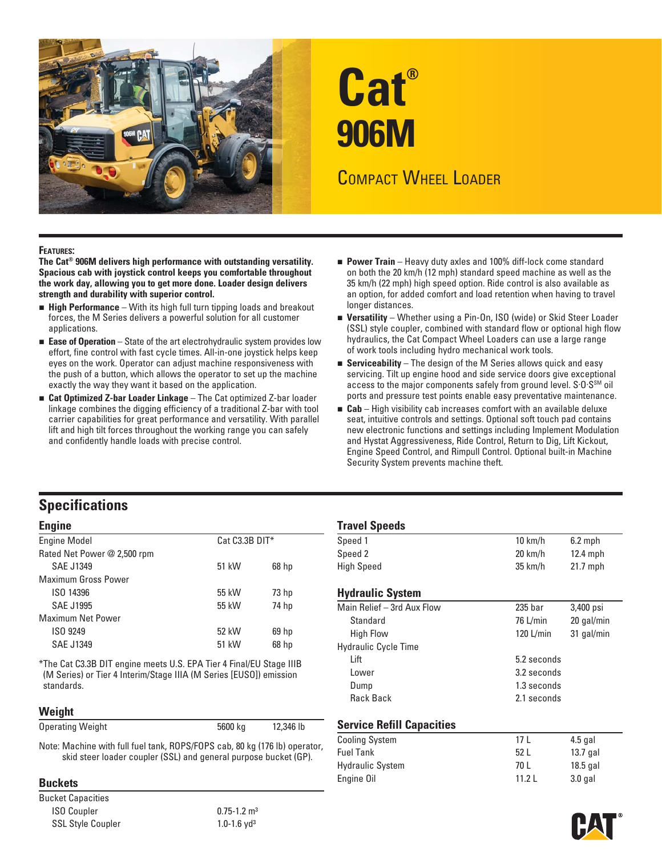

# **Cat® 906M**

# COMPACT WHEEL LOADER

#### **FEATURES:**

**The Cat® 906M delivers high performance with outstanding versatility. Spacious cab with joystick control keeps you comfortable throughout the work day, allowing you to get more done. Loader design delivers strength and durability with superior control.** 

- **High Performance** With its high full turn tipping loads and breakout forces, the M Series delivers a powerful solution for all customer applications.
- **Ease of Operation** State of the art electrohydraulic system provides low effort, fine control with fast cycle times. All-in-one joystick helps keep eyes on the work. Operator can adjust machine responsiveness with the push of a button, which allows the operator to set up the machine exactly the way they want it based on the application.
- **Cat Optimized Z-bar Loader Linkage** The Cat optimized Z-bar loader linkage combines the digging efficiency of a traditional Z-bar with tool carrier capabilities for great performance and versatility. With parallel lift and high tilt forces throughout the working range you can safely and confidently handle loads with precise control.
- **Power Train** Heavy duty axles and 100% diff-lock come standard on both the 20 km/h (12 mph) standard speed machine as well as the 35 km/h (22 mph) high speed option. Ride control is also available as an option, for added comfort and load retention when having to travel longer distances.
- **Versatility** Whether using a Pin-On, ISO (wide) or Skid Steer Loader (SSL) style coupler, combined with standard flow or optional high flow hydraulics, the Cat Compact Wheel Loaders can use a large range of work tools including hydro mechanical work tools.
- **Serviceability** The design of the M Series allows quick and easy servicing. Tilt up engine hood and side service doors give exceptional access to the major components safely from ground level. S.O.S<sup>SM</sup> oil ports and pressure test points enable easy preventative maintenance.
- **Cab** High visibility cab increases comfort with an available deluxe seat, intuitive controls and settings. Optional soft touch pad contains new electronic functions and settings including Implement Modulation and Hystat Aggressiveness, Ride Control, Return to Dig, Lift Kickout, Engine Speed Control, and Rimpull Control. Optional built-in Machine Security System prevents machine theft.

## **Specifications**

| <b>Engine Model</b>         | $Cat C3.3B DIT*$ |                  | Speed 1                     | $10 \text{ km/h}$  | $6.2$ mph  |
|-----------------------------|------------------|------------------|-----------------------------|--------------------|------------|
| Rated Net Power @ 2,500 rpm |                  |                  | Speed 2                     | $20 \text{ km/h}$  | $12.4$ mph |
| SAE J1349                   | 51 kW            | 68 <sub>hp</sub> | <b>High Speed</b>           | $35 \text{ km/h}$  | $21.7$ mph |
| <b>Maximum Gross Power</b>  |                  |                  |                             |                    |            |
| ISO 14396                   | 55 kW            | 73 <sub>hp</sub> | <b>Hydraulic System</b>     |                    |            |
| <b>SAE J1995</b>            | 55 kW            | 74 hp            | Main Relief - 3rd Aux Flow  | 235 <sub>bar</sub> | 3,400 psi  |
| <b>Maximum Net Power</b>    |                  |                  | Standard                    | $76$ L/min         | 20 gal/mi  |
| ISO 9249                    | 52 kW            | 69 <sub>h</sub>  | <b>High Flow</b>            | $120$ L/min        | 31 gal/mi  |
| <b>SAE J1349</b>            | 51 kW            | 68 <sub>hp</sub> | <b>Hydraulic Cycle Time</b> |                    |            |
|                             |                  |                  |                             |                    |            |

#### **Weight**

| <b>Operating Weight</b> | 5600 kg | 12,346 lb |  |
|-------------------------|---------|-----------|--|
|                         |         |           |  |

Bucket Capacities ISO Coupler 0.75-1.2 m<sup>3</sup> SSL Style Coupler 1.0-1.6 yd<sup>3</sup>

| <b>Engine</b>                                                                    |                |                  | <b>Travel Speeds</b>        |                    |            |  |  |
|----------------------------------------------------------------------------------|----------------|------------------|-----------------------------|--------------------|------------|--|--|
| <b>Engine Model</b>                                                              | Cat C3.3B DIT* |                  | Speed 1                     | $10 \text{ km/h}$  | $6.2$ mph  |  |  |
| Rated Net Power @ 2,500 rpm                                                      |                |                  | Speed 2                     | $20 \text{ km/h}$  | $12.4$ mph |  |  |
| SAE J1349                                                                        | 51 kW          | 68 <sub>hp</sub> | <b>High Speed</b>           | $35 \text{ km/h}$  | $21.7$ mph |  |  |
| Maximum Gross Power                                                              |                |                  |                             |                    |            |  |  |
| ISO 14396                                                                        | 55 kW          | 73 <sub>hp</sub> | <b>Hydraulic System</b>     |                    |            |  |  |
| <b>SAE J1995</b>                                                                 | 55 kW          | 74 hp            | Main Relief - 3rd Aux Flow  | 235 <sub>bar</sub> | 3,400 psi  |  |  |
| <b>Maximum Net Power</b>                                                         |                |                  | Standard                    | $76$ L/min         | 20 gal/min |  |  |
| ISO 9249                                                                         | 52 kW          | 69 <sub>hp</sub> | <b>High Flow</b>            | $120$ L/min        | 31 gal/min |  |  |
| <b>SAE J1349</b>                                                                 | 51 kW          | 68 <sub>hp</sub> | <b>Hydraulic Cycle Time</b> |                    |            |  |  |
| *The Cat C3.3B DIT engine meets U.S. EPA Tier 4 Final/EU Stage IIIB              |                |                  | Lift                        | 5.2 seconds        |            |  |  |
| (M Series) or Tier 4 Interim/Stage IIIA (M Series [EUSO]) emission<br>standards. |                | Lower            | 3.2 seconds<br>1.3 seconds  |                    |            |  |  |
|                                                                                  |                | Dump             |                             |                    |            |  |  |
|                                                                                  |                |                  | <b>Rack Back</b>            | 2.1 seconds        |            |  |  |

#### **Service Refill Capacities**

|                                                                                                                                                | <b>Cooling System</b>   |       | $4.5$ gal  |
|------------------------------------------------------------------------------------------------------------------------------------------------|-------------------------|-------|------------|
| Note: Machine with full fuel tank, ROPS/FOPS cab, 80 kg (176 lb) operator,<br>skid steer loader coupler (SSL) and general purpose bucket (GP). | <b>Fuel Tank</b>        | 52 L  | $13.7$ aal |
|                                                                                                                                                | <b>Hydraulic System</b> | 70 L  | $18.5$ gal |
| <b>Buckets</b>                                                                                                                                 | Engine Oil              | 11.2L | 3.0 gal    |

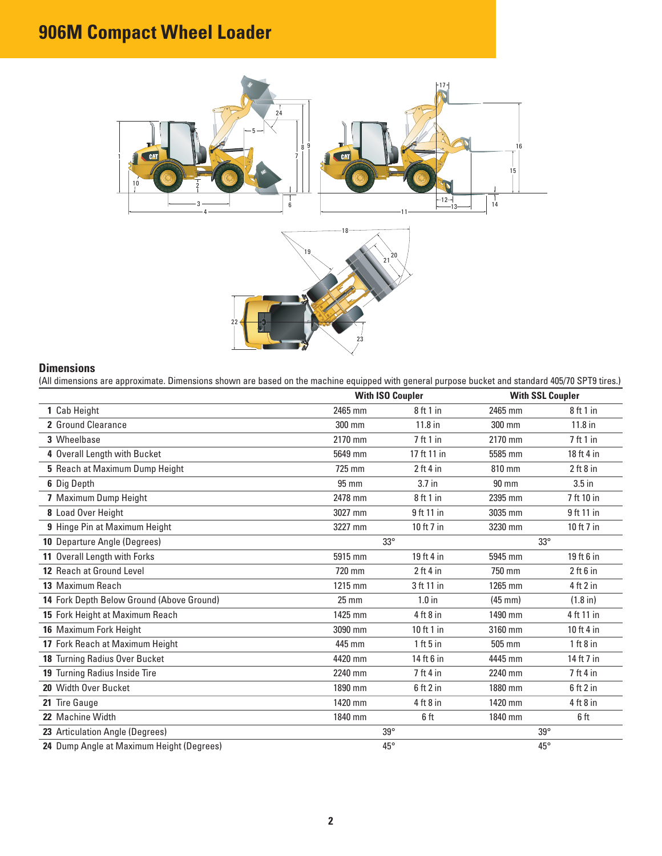# **906M Compact Wheel Loader**



#### **Dimensions**

(All dimensions are approximate. Dimensions shown are based on the machine equipped with general purpose bucket and standard 405/70 SPT9 tires.)

|                                           |                 | <b>With ISO Coupler</b> |                   | <b>With SSL Coupler</b> |
|-------------------------------------------|-----------------|-------------------------|-------------------|-------------------------|
| 1 Cab Height                              | 2465 mm         | 8ft1in                  | 2465 mm           | 8ft1in                  |
| 2 Ground Clearance                        | 300 mm          | $11.8$ in               | 300 mm            | $11.8$ in               |
| 3 Wheelbase                               | 2170 mm         | 7 ft 1 in               | 2170 mm           | 7ft1in                  |
| 4 Overall Length with Bucket              | 5649 mm         | 17 ft 11 in             | 5585 mm           | 18 ft 4 in              |
| 5 Reach at Maximum Dump Height            | 725 mm          | $2$ ft 4 in             | 810 mm            | $2$ ft $8$ in           |
| 6 Dig Depth                               | 95 mm           | 3.7 in                  | $90 \text{ mm}$   | $3.5$ in                |
| 7 Maximum Dump Height                     | 2478 mm         | 8 ft 1 in               | 2395 mm           | 7 ft 10 in              |
| 8 Load Over Height                        | 3027 mm         | 9 ft 11 in              | 3035 mm           | 9 ft 11 in              |
| 9 Hinge Pin at Maximum Height             | 3227 mm         | 10 ft 7 in              | 3230 mm           | 10 ft 7 in              |
| 10 Departure Angle (Degrees)              |                 | $33^\circ$              |                   | $33^\circ$              |
| 11 Overall Length with Forks              | 5915 mm         | 19 ft 4 in              | 5945 mm           | 19 ft 6 in              |
| 12 Reach at Ground Level                  | 720 mm          | $2$ ft 4 in             | 750 mm            | $2$ ft $6$ in           |
| 13 Maximum Reach                          | 1215 mm         | 3 ft 11 in              | 1265 mm           | 4 ft 2 in               |
| 14 Fork Depth Below Ground (Above Ground) | $25 \text{ mm}$ | $1.0$ in                | $(45 \text{ mm})$ | $(1.8 \text{ in})$      |
| 15 Fork Height at Maximum Reach           | 1425 mm         | $4$ ft $8$ in           | 1490 mm           | 4 ft 11 in              |
| 16 Maximum Fork Height                    | 3090 mm         | 10 ft 1 in              | 3160 mm           | 10 ft 4 in              |
| 17 Fork Reach at Maximum Height           | 445 mm          | $1$ ft 5 in             | 505 mm            | 1 ft 8 in               |
| 18 Turning Radius Over Bucket             | 4420 mm         | 14 ft 6 in              | 4445 mm           | 14 ft 7 in              |
| 19 Turning Radius Inside Tire             | 2240 mm         | $7$ ft 4 in             | 2240 mm           | $7$ ft 4 in             |
| 20 Width Over Bucket                      | 1890 mm         | $6$ ft 2 in             | 1880 mm           | $6$ ft $2$ in           |
| 21 Tire Gauge                             | 1420 mm         | $4$ ft $8$ in           | 1420 mm           | $4$ ft $8$ in           |
| 22 Machine Width                          | 1840 mm         | 6 ft                    | 1840 mm           | 6 ft                    |
| 23 Articulation Angle (Degrees)           | $39^\circ$      |                         | $39^\circ$        |                         |
| 24 Dump Angle at Maximum Height (Degrees) | $45^{\circ}$    |                         | $45^{\circ}$      |                         |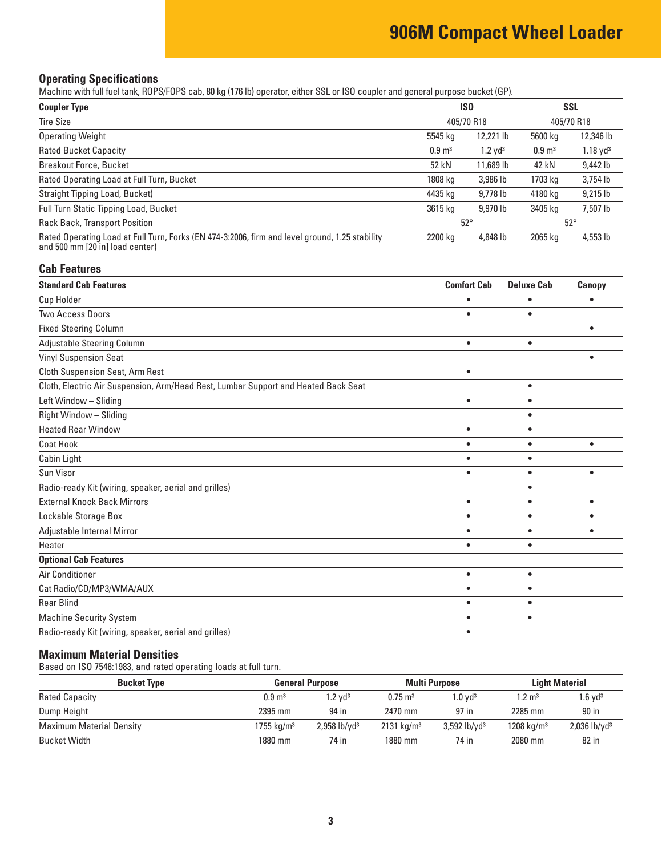# **906M Compact Wheel Loader**

#### **Operating Specifications**

Machine with full fuel tank, ROPS/FOPS cab, 80 kg (176 lb) operator, either SSL or ISO coupler and general purpose bucket (GP).

| <b>Coupler Type</b>                                                                                                               | <b>ISO</b>        |                       | <b>SSL</b>        |                     |
|-----------------------------------------------------------------------------------------------------------------------------------|-------------------|-----------------------|-------------------|---------------------|
| <b>Tire Size</b>                                                                                                                  |                   | 405/70 R18            |                   | 405/70 R18          |
| <b>Operating Weight</b>                                                                                                           | 5545 kg           | 12,221 lb             | 5600 kg           | 12,346 lb           |
| <b>Rated Bucket Capacity</b>                                                                                                      | $0.9 \text{ m}^3$ | $1.2$ yd <sup>3</sup> | $0.9 \text{ m}^3$ | $1.18 \text{ yd}^3$ |
| <b>Breakout Force, Bucket</b>                                                                                                     | 52 kN             | 11.689 lb             | 42 kN             | 9,442 lb            |
| Rated Operating Load at Full Turn, Bucket                                                                                         | 1808 kg           | 3,986 lb              | 1703 kg           | 3,754 lb            |
| Straight Tipping Load, Bucket)                                                                                                    | 4435 kg           | 9,778 lb              | 4180 kg           | $9,215$ lb          |
| Full Turn Static Tipping Load, Bucket                                                                                             | 3615 kg           | 9.970 lb              | 3405 kg           | 7,507 lb            |
| <b>Rack Back, Transport Position</b>                                                                                              |                   | $52^\circ$            |                   | $52^{\circ}$        |
| Rated Operating Load at Full Turn, Forks (EN 474-3:2006, firm and level ground, 1.25 stability<br>and 500 mm [20 in] load center) | 2200 kg           | 4,848 lb              | 2065 kg           | 4,553 lb            |

#### **Cab Features**

| <b>Standard Cab Features</b>                                                       | <b>Comfort Cab</b> | <b>Deluxe Cab</b> | Canopy    |
|------------------------------------------------------------------------------------|--------------------|-------------------|-----------|
| Cup Holder                                                                         |                    |                   |           |
| <b>Two Access Doors</b>                                                            | $\bullet$          | ٠                 |           |
| <b>Fixed Steering Column</b>                                                       |                    |                   | ٠         |
| Adjustable Steering Column                                                         | $\bullet$          | $\bullet$         |           |
| <b>Vinyl Suspension Seat</b>                                                       |                    |                   |           |
| <b>Cloth Suspension Seat, Arm Rest</b>                                             | $\bullet$          |                   |           |
| Cloth, Electric Air Suspension, Arm/Head Rest, Lumbar Support and Heated Back Seat |                    | $\bullet$         |           |
| Left Window - Sliding                                                              | $\bullet$          | $\bullet$         |           |
| Right Window - Sliding                                                             |                    | $\bullet$         |           |
| <b>Heated Rear Window</b>                                                          | $\bullet$          | $\bullet$         |           |
| <b>Coat Hook</b>                                                                   |                    | ٠                 | $\bullet$ |
| Cabin Light                                                                        | ٠                  | $\bullet$         |           |
| Sun Visor                                                                          | $\bullet$          | $\bullet$         | $\bullet$ |
| Radio-ready Kit (wiring, speaker, aerial and grilles)                              |                    | $\bullet$         |           |
| <b>External Knock Back Mirrors</b>                                                 | $\bullet$          | $\bullet$         | $\bullet$ |
| Lockable Storage Box                                                               | $\bullet$          | $\bullet$         |           |
| Adjustable Internal Mirror                                                         | $\bullet$          | $\bullet$         |           |
| Heater                                                                             | $\bullet$          | $\bullet$         |           |
| <b>Optional Cab Features</b>                                                       |                    |                   |           |
| Air Conditioner                                                                    | $\bullet$          | $\bullet$         |           |
| Cat Radio/CD/MP3/WMA/AUX                                                           | $\bullet$          | ٠                 |           |
| <b>Rear Blind</b>                                                                  |                    |                   |           |
| <b>Machine Security System</b>                                                     |                    | ٠                 |           |
| Radio-ready Kit (wiring, speaker, aerial and grilles)                              |                    |                   |           |

#### **Maximum Material Densities**

Based on ISO 7546:1983, and rated operating loads at full turn.

| <b>Bucket Type</b>              |                        | <b>General Purpose</b>     |                       | <b>Multi Purpose</b>       |                        | <b>Light Material</b>      |  |
|---------------------------------|------------------------|----------------------------|-----------------------|----------------------------|------------------------|----------------------------|--|
| <b>Rated Capacity</b>           | $0.9 \text{ m}^3$      | $1.2$ vd $^3$              | $0.75 \text{ m}^3$    | $1.0 \text{ vd}^3$         | $1.2 \; \mathrm{m}^3$  | $1.6$ vd $3$               |  |
| Dump Height                     | 2395 mm                | 94 in                      | 2470 mm               | 97 in                      | 2285 mm                | 90 in                      |  |
| <b>Maximum Material Density</b> | 1755 kg/m <sup>3</sup> | $2,958$ lb/yd <sup>3</sup> | $2131 \text{ kg/m}^3$ | $3,592$ lb/yd <sup>3</sup> | 1208 kg/m <sup>3</sup> | $2,036$ lb/yd <sup>3</sup> |  |
| Bucket Width                    | 1880 mm                | 74 in                      | 1880 mm               | 74 in                      | 2080 mm                | 82 in                      |  |